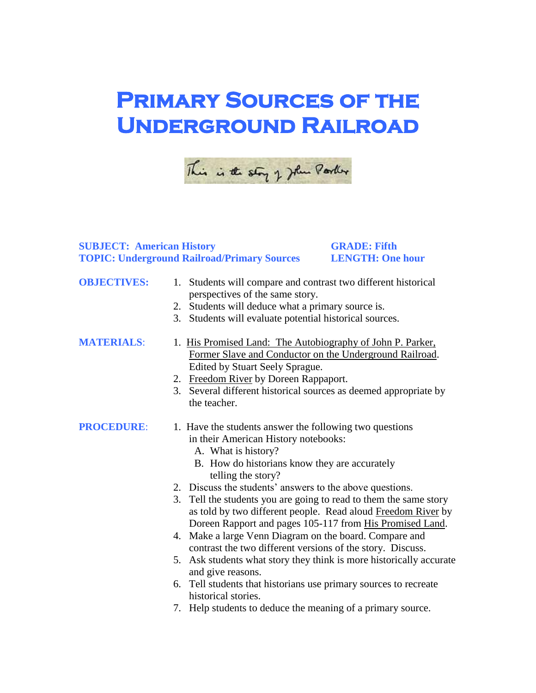## **PRIMARY SOURCES OF THE Underground Railroad**



## **SUBJECT: American History GRADE: Fifth TOPIC: Underground Railroad/Primary Sources LENGTH: One hour**

## **OBJECTIVES:** 1. Students will compare and contrast two different historical perspectives of the same story. 2. Students will deduce what a primary source is. 3. Students will evaluate potential historical sources. **MATERIALS:** 1. His Promised Land: The Autobiography of John P. Parker, Former Slave and Conductor on the Underground Railroad. Edited by Stuart Seely Sprague. 2. Freedom River by Doreen Rappaport. 3. Several different historical sources as deemed appropriate by the teacher. **PROCEDURE:** 1. Have the students answer the following two questions in their American History notebooks: A. What is history? B. How do historians know they are accurately telling the story? 2. Discuss the students' answers to the above questions. 3. Tell the students you are going to read to them the same story as told by two different people. Read aloud Freedom River by Doreen Rapport and pages 105-117 from His Promised Land. 4. Make a large Venn Diagram on the board. Compare and

- contrast the two different versions of the story. Discuss.
- 5. Ask students what story they think is more historically accurate and give reasons.
- 6. Tell students that historians use primary sources to recreate historical stories.
- 7. Help students to deduce the meaning of a primary source.